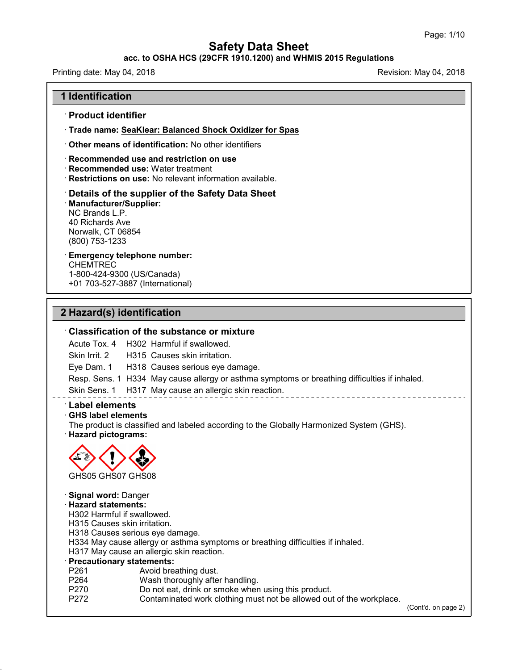### **acc. to OSHA HCS (29CFR 1910.1200) and WHMIS 2015 Regulations**

Printing date: May 04, 2018 **Printing date: May 04, 2018** Revision: May 04, 2018

### **1 Identification**

### · **Product identifier**

· **Trade name: SeaKlear: Balanced Shock Oxidizer for Spas**

· **Other means of identification:** No other identifiers

#### · **Recommended use and restriction on use**

· **Recommended use:** Water treatment

· **Restrictions on use:** No relevant information available.

#### · **Details of the supplier of the Safety Data Sheet**

· **Manufacturer/Supplier:** NC Brands L.P. 40 Richards Ave Norwalk, CT 06854 (800) 753-1233

## · **Emergency telephone number:**

**CHEMTREC** 1-800-424-9300 (US/Canada) +01 703-527-3887 (International)

### **2 Hazard(s) identification**

#### · **Classification of the substance or mixture**

Acute Tox. 4 H302 Harmful if swallowed.

Skin Irrit.2 H315 Causes skin irritation.

Eye Dam. 1 H318 Causes serious eye damage.

Resp. Sens. 1 H334 May cause allergy or asthma symptoms or breathing difficulties if inhaled.

Skin Sens. 1 H317 May cause an allergic skin reaction.

## · **Label elements**

#### · **GHS label elements**

The product is classified and labeled according to the Globally Harmonized System (GHS). · **Hazard pictograms:**



# · **Signal word:** Danger

46.2.4

· **Hazard statements:**

H302 Harmful if swallowed.

H315 Causes skin irritation.

H318 Causes serious eye damage.

H334 May cause allergy or asthma symptoms or breathing difficulties if inhaled.

H317 May cause an allergic skin reaction.

#### · **Precautionary statements:**

- P261 **Avoid breathing dust.**<br>P264 Wash thoroughly afte
- Wash thoroughly after handling.
- P270 Do not eat, drink or smoke when using this product.
- P272 Contaminated work clothing must not be allowed out of the workplace.

(Cont'd. on page 2)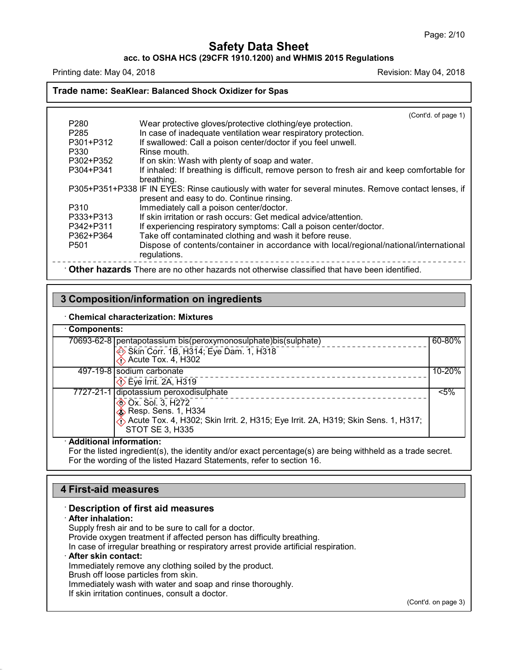**acc. to OSHA HCS (29CFR 1910.1200) and WHMIS 2015 Regulations**

Printing date: May 04, 2018 **Printing date: May 04, 2018** Revision: May 04, 2018

**Trade name: SeaKlear: Balanced Shock Oxidizer for Spas**

|                                                                                              | (Cont'd. of page 1)                                                                                                                                |  |  |  |
|----------------------------------------------------------------------------------------------|----------------------------------------------------------------------------------------------------------------------------------------------------|--|--|--|
| P <sub>280</sub>                                                                             | Wear protective gloves/protective clothing/eye protection.                                                                                         |  |  |  |
| P <sub>285</sub>                                                                             | In case of inadequate ventilation wear respiratory protection.                                                                                     |  |  |  |
| P301+P312                                                                                    | If swallowed: Call a poison center/doctor if you feel unwell.                                                                                      |  |  |  |
| P330                                                                                         | Rinse mouth.                                                                                                                                       |  |  |  |
| P302+P352                                                                                    | If on skin: Wash with plenty of soap and water.                                                                                                    |  |  |  |
| P304+P341                                                                                    | If inhaled: If breathing is difficult, remove person to fresh air and keep comfortable for<br>breathing.                                           |  |  |  |
|                                                                                              | P305+P351+P338 IF IN EYES: Rinse cautiously with water for several minutes. Remove contact lenses, if<br>present and easy to do. Continue rinsing. |  |  |  |
| P310                                                                                         | Immediately call a poison center/doctor.                                                                                                           |  |  |  |
| P333+P313                                                                                    | If skin irritation or rash occurs: Get medical advice/attention.                                                                                   |  |  |  |
| P342+P311                                                                                    | If experiencing respiratory symptoms: Call a poison center/doctor.                                                                                 |  |  |  |
| P362+P364                                                                                    | Take off contaminated clothing and wash it before reuse.                                                                                           |  |  |  |
| P <sub>501</sub>                                                                             | Dispose of contents/container in accordance with local/regional/national/international<br>regulations.                                             |  |  |  |
| Other hazards There are no other hazards not otherwise classified that have been identified. |                                                                                                                                                    |  |  |  |

## **3 Composition/information on ingredients**

#### · **Chemical characterization: Mixtures**

| Components:                                                                                          |            |  |
|------------------------------------------------------------------------------------------------------|------------|--|
| 60-80%<br>70693-62-8   pentapotassium bis(peroxymonosulphate) bis(sulphate)                          |            |  |
| Skin Corr. 1B, H314; Eye Dam. 1, H318<br>$\bigcirc$ Acute Tox. 4, H302                               |            |  |
| 497-19-8 sodium carbonate                                                                            | $10 - 20%$ |  |
| $\diamondsuit$ Eye Irrit. 2A, H319                                                                   |            |  |
| 7727-21-1 dipotassium peroxodisulphate                                                               | $< 5\%$    |  |
| <b>EXALCER Sol. 3, H272</b>                                                                          |            |  |
| $\diamond$ Resp. Sens. 1, H334                                                                       |            |  |
| Acute Tox. 4, H302; Skin Irrit. 2, H315; Eye Irrit. 2A, H319; Skin Sens. 1, H317;<br>STOT SE 3, H335 |            |  |
| A del distinguno del ten fin concentiu con e                                                         |            |  |

#### · **Additional information:**

For the listed ingredient(s), the identity and/or exact percentage(s) are being withheld as a trade secret. For the wording of the listed Hazard Statements, refer to section 16.

## **4 First-aid measures**

#### · **Description of first aid measures**

#### · **After inhalation:**

46.2.4

Supply fresh air and to be sure to call for a doctor. Provide oxygen treatment if affected person has difficulty breathing. In case of irregular breathing or respiratory arrest provide artificial respiration. · **After skin contact:** Immediately remove any clothing soiled by the product. Brush off loose particles from skin. Immediately wash with water and soap and rinse thoroughly.

If skin irritation continues, consult a doctor.

(Cont'd. on page 3)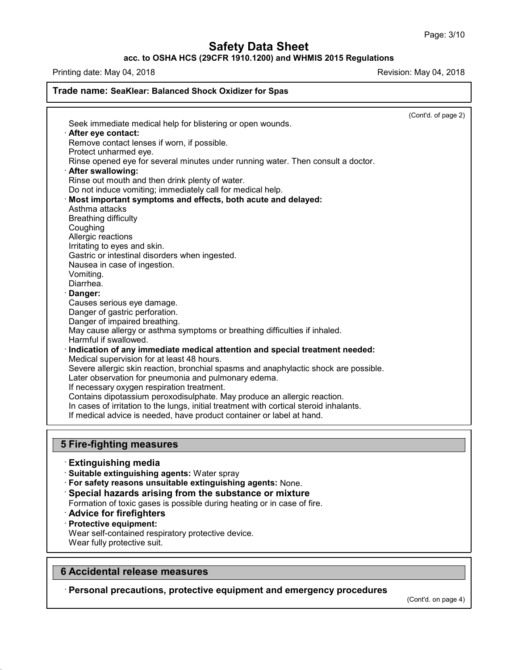**acc. to OSHA HCS (29CFR 1910.1200) and WHMIS 2015 Regulations**

Printing date: May 04, 2018 **Printing date:** May 04, 2018

## **Trade name: SeaKlear: Balanced Shock Oxidizer for Spas** (Cont'd. of page 2) Seek immediate medical help for blistering or open wounds. · **After eye contact:** Remove contact lenses if worn, if possible. Protect unharmed eye. Rinse opened eye for several minutes under running water. Then consult a doctor. · **After swallowing:** Rinse out mouth and then drink plenty of water. Do not induce vomiting; immediately call for medical help. · **Most important symptoms and effects, both acute and delayed:** Asthma attacks Breathing difficulty Coughing Allergic reactions Irritating to eyes and skin. Gastric or intestinal disorders when ingested. Nausea in case of ingestion. Vomiting. Diarrhea. · **Danger:** Causes serious eye damage. Danger of gastric perforation. Danger of impaired breathing. May cause allergy or asthma symptoms or breathing difficulties if inhaled. Harmful if swallowed. · **Indication of any immediate medical attention and special treatment needed:** Medical supervision for at least 48 hours. Severe allergic skin reaction, bronchial spasms and anaphylactic shock are possible. Later observation for pneumonia and pulmonary edema. If necessary oxygen respiration treatment. Contains dipotassium peroxodisulphate. May produce an allergic reaction. In cases of irritation to the lungs, initial treatment with cortical steroid inhalants. If medical advice is needed, have product container or label at hand. **5 Fire-fighting measures** · **Extinguishing media**

- · **Suitable extinguishing agents:** Water spray
- · **For safety reasons unsuitable extinguishing agents:** None.
- · **Special hazards arising from the substance or mixture**
- Formation of toxic gases is possible during heating or in case of fire.
- · **Advice for firefighters**
- · **Protective equipment:**

Wear self-contained respiratory protective device.

Wear fully protective suit.

46.2.4

## **6 Accidental release measures**

· **Personal precautions, protective equipment and emergency procedures**

(Cont'd. on page 4)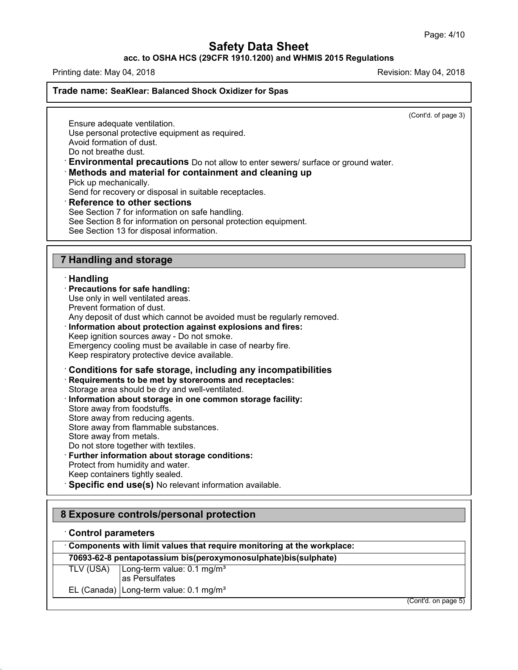**acc. to OSHA HCS (29CFR 1910.1200) and WHMIS 2015 Regulations**

Printing date: May 04, 2018 **Printing date:** May 04, 2018

### **Trade name: SeaKlear: Balanced Shock Oxidizer for Spas**

(Cont'd. of page 3)

Ensure adequate ventilation. Use personal protective equipment as required. Avoid formation of dust. Do not breathe dust.

· **Environmental precautions** Do not allow to enter sewers/ surface or ground water.

· **Methods and material for containment and cleaning up**

Pick up mechanically.

Send for recovery or disposal in suitable receptacles.

· **Reference to other sections**

See Section 7 for information on safe handling.

See Section 8 for information on personal protection equipment.

See Section 13 for disposal information.

### **7 Handling and storage**

### · **Handling**

#### · **Precautions for safe handling:**

Use only in well ventilated areas.

Prevent formation of dust.

Any deposit of dust which cannot be avoided must be regularly removed.

#### · **Information about protection against explosions and fires:** Keep ignition sources away - Do not smoke.

Emergency cooling must be available in case of nearby fire. Keep respiratory protective device available.

### · **Conditions for safe storage, including any incompatibilities** · **Requirements to be met by storerooms and receptacles:**

Storage area should be dry and well-ventilated.

- · **Information about storage in one common storage facility:** Store away from foodstuffs. Store away from reducing agents.
- Store away from flammable substances.
- Store away from metals.
- Do not store together with textiles.

### · **Further information about storage conditions:**

Protect from humidity and water.

- Keep containers tightly sealed.
- · **Specific end use(s)** No relevant information available.

## **8 Exposure controls/personal protection**

#### · **Control parameters**

46.2.4

· **Components with limit values that require monitoring at the workplace:**

## **70693-62-8 pentapotassium bis(peroxymonosulphate)bis(sulphate)**

TLV (USA) Long-term value: 0.1 mg/m<sup>3</sup> as Persulfates

EL (Canada) Long-term value:  $0.1 \text{ mg/m}^3$ 

(Cont'd. on page 5)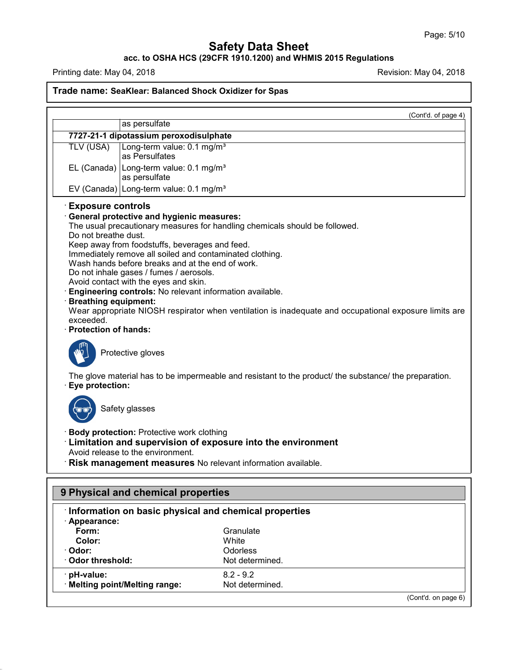### **acc. to OSHA HCS (29CFR 1910.1200) and WHMIS 2015 Regulations**

Printing date: May 04, 2018 **Printing date: May 04, 2018** Revision: May 04, 2018

## **Trade name: SeaKlear: Balanced Shock Oxidizer for Spas**

(Cont'd. of page 4) as persulfate **7727-21-1 dipotassium peroxodisulphate** TLV (USA) Long-term value: 0.1 mg/m<sup>3</sup> as Persulfates EL (Canada) Long-term value:  $0.1 \text{ mg/m}^3$ as persulfate EV (Canada) Long-term value:  $0.1 \text{ mg/m}^3$ · **Exposure controls** · **General protective and hygienic measures:** The usual precautionary measures for handling chemicals should be followed. Do not breathe dust. Keep away from foodstuffs, beverages and feed. Immediately remove all soiled and contaminated clothing. Wash hands before breaks and at the end of work. Do not inhale gases / fumes / aerosols. Avoid contact with the eyes and skin. · **Engineering controls:** No relevant information available. · **Breathing equipment:** Wear appropriate NIOSH respirator when ventilation is inadequate and occupational exposure limits are exceeded. · **Protection of hands:** Protective gloves The glove material has to be impermeable and resistant to the product/ the substance/ the preparation. · **Eye protection:** Safety glasses · **Body protection:** Protective work clothing · **Limitation and supervision of exposure into the environment** Avoid release to the environment. · **Risk management measures** No relevant information available. **9 Physical and chemical properties** · **Information on basic physical and chemical properties** · **Appearance: Form:** Granulate Color: Color: **Color:** White · **Odor:** Odorless  $\cdot$  Odor threshold:

· **pH-value:** 8.2 - 9.2 **Melting point/Melting range:** 

46.2.4

(Cont'd. on page 6)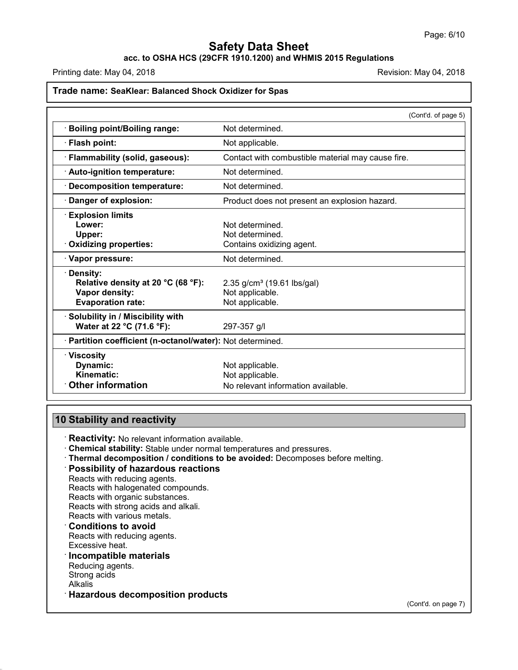## **acc. to OSHA HCS (29CFR 1910.1200) and WHMIS 2015 Regulations**

Printing date: May 04, 2018 **Printing date: May 04, 2018** Revision: May 04, 2018

## **Trade name: SeaKlear: Balanced Shock Oxidizer for Spas**

|                                                                                                | (Cont'd. of page 5)                                                          |  |
|------------------------------------------------------------------------------------------------|------------------------------------------------------------------------------|--|
| <b>Boiling point/Boiling range:</b>                                                            | Not determined.                                                              |  |
| · Flash point:                                                                                 | Not applicable.                                                              |  |
| · Flammability (solid, gaseous):                                                               | Contact with combustible material may cause fire.                            |  |
| · Auto-ignition temperature:                                                                   | Not determined.                                                              |  |
| · Decomposition temperature:                                                                   | Not determined.                                                              |  |
| · Danger of explosion:                                                                         | Product does not present an explosion hazard.                                |  |
| <b>Explosion limits</b><br>Lower:<br>Upper:<br>· Oxidizing properties:                         | Not determined.<br>Not determined.<br>Contains oxidizing agent.              |  |
| · Vapor pressure:                                                                              | Not determined.                                                              |  |
| · Density:<br>Relative density at 20 °C (68 °F):<br>Vapor density:<br><b>Evaporation rate:</b> | 2.35 g/cm <sup>3</sup> (19.61 lbs/gal)<br>Not applicable.<br>Not applicable. |  |
| · Solubility in / Miscibility with<br>Water at 22 °C (71.6 °F):                                | 297-357 g/l                                                                  |  |
| · Partition coefficient (n-octanol/water): Not determined.                                     |                                                                              |  |
| $\cdot$ Viscosity<br>Dynamic:<br>Kinematic:<br><b>Other information</b>                        | Not applicable.<br>Not applicable.<br>No relevant information available.     |  |

# **10 Stability and reactivity**

· **Reactivity:** No relevant information available.

- · **Chemical stability:** Stable under normal temperatures and pressures.
- · **Thermal decomposition / conditions to be avoided:** Decomposes before melting.

#### · **Possibility of hazardous reactions**

Reacts with reducing agents. Reacts with halogenated compounds. Reacts with organic substances. Reacts with strong acids and alkali. Reacts with various metals.

## · **Conditions to avoid**

Reacts with reducing agents. Excessive heat.

## · **Incompatible materials**

Reducing agents. Strong acids Alkalis

46.2.4

· **Hazardous decomposition products**

(Cont'd. on page 7)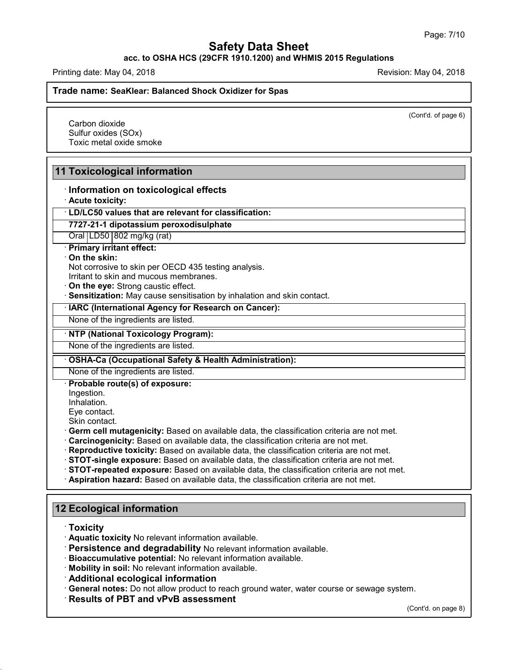### **acc. to OSHA HCS (29CFR 1910.1200) and WHMIS 2015 Regulations**

Printing date: May 04, 2018 **Printing date:** May 04, 2018

**Trade name: SeaKlear: Balanced Shock Oxidizer for Spas**

(Cont'd. of page 6)

Carbon dioxide Sulfur oxides (SOx) Toxic metal oxide smoke

## **11 Toxicological information**

### · **Information on toxicological effects**

· **Acute toxicity:**

· **LD/LC50 values that are relevant for classification:**

## **7727-21-1 dipotassium peroxodisulphate**

Oral LD50 802 mg/kg (rat)

· **Primary irritant effect:**

#### · **On the skin:**

Not corrosive to skin per OECD 435 testing analysis.

Irritant to skin and mucous membranes.

· **On the eye:** Strong caustic effect.

· **Sensitization:** May cause sensitisation by inhalation and skin contact.

· **IARC (International Agency for Research on Cancer):**

None of the ingredients are listed.

· **NTP (National Toxicology Program):**

None of the ingredients are listed.

· **OSHA-Ca (Occupational Safety & Health Administration):**

None of the ingredients are listed.

· **Probable route(s) of exposure:**

Ingestion.

Inhalation.

Eye contact.

Skin contact.

- · **Germ cell mutagenicity:** Based on available data, the classification criteria are not met.
- · **Carcinogenicity:** Based on available data, the classification criteria are not met.
- · **Reproductive toxicity:** Based on available data, the classification criteria are not met.
- · **STOT-single exposure:** Based on available data, the classification criteria are not met.
- · **STOT-repeated exposure:** Based on available data, the classification criteria are not met.
- · **Aspiration hazard:** Based on available data, the classification criteria are not met.

## **12 Ecological information**

· **Toxicity**

46.2.4

· **Aquatic toxicity** No relevant information available.

- · **Persistence and degradability** No relevant information available.
- · **Bioaccumulative potential:** No relevant information available.
- · **Mobility in soil:** No relevant information available.

· **Additional ecological information**

· **General notes:** Do not allow product to reach ground water, water course or sewage system.

· **Results of PBT and vPvB assessment**

(Cont'd. on page 8)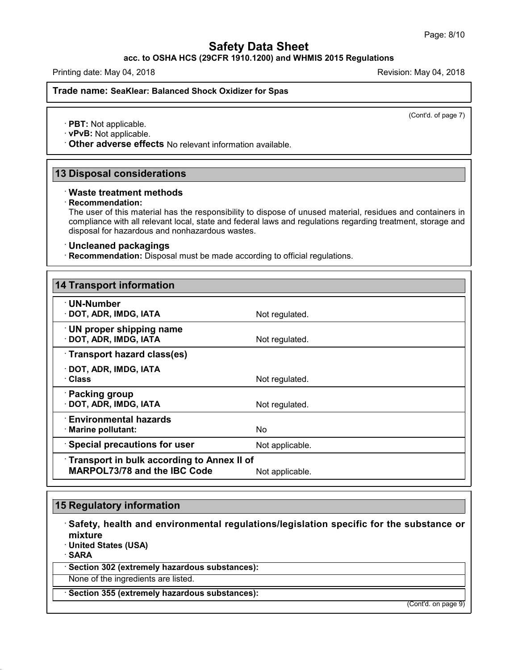**acc. to OSHA HCS (29CFR 1910.1200) and WHMIS 2015 Regulations**

Printing date: May 04, 2018 **Printing date: May 04, 2018** Revision: May 04, 2018

**Trade name: SeaKlear: Balanced Shock Oxidizer for Spas**

(Cont'd. of page 7)

· **PBT:** Not applicable.

· **vPvB:** Not applicable.

· **Other adverse effects** No relevant information available.

## **13 Disposal considerations**

### · **Waste treatment methods**

#### · **Recommendation:**

The user of this material has the responsibility to dispose of unused material, residues and containers in compliance with all relevant local, state and federal laws and regulations regarding treatment, storage and disposal for hazardous and nonhazardous wastes.

#### · **Uncleaned packagings**

· **Recommendation:** Disposal must be made according to official regulations.

| <b>14 Transport information</b>                                                   |                 |  |  |  |
|-----------------------------------------------------------------------------------|-----------------|--|--|--|
| · UN-Number<br>DOT, ADR, IMDG, IATA                                               | Not regulated.  |  |  |  |
| $\cdot$ UN proper shipping name<br>DOT, ADR, IMDG, IATA                           | Not regulated.  |  |  |  |
| · Transport hazard class(es)                                                      |                 |  |  |  |
| DOT, ADR, IMDG, IATA<br>· Class                                                   | Not regulated.  |  |  |  |
| · Packing group<br>DOT, ADR, IMDG, IATA                                           | Not regulated.  |  |  |  |
| <b>Environmental hazards</b><br>· Marine pollutant:                               | No.             |  |  |  |
| Special precautions for user                                                      | Not applicable. |  |  |  |
| Transport in bulk according to Annex II of<br><b>MARPOL73/78 and the IBC Code</b> | Not applicable. |  |  |  |

## **15 Regulatory information**

· **Safety, health and environmental regulations/legislation specific for the substance or mixture**

· **United States (USA)**

· **SARA**

46.2.4

· **Section 302 (extremely hazardous substances):**

None of the ingredients are listed.

· **Section 355 (extremely hazardous substances):**

(Cont'd. on page 9)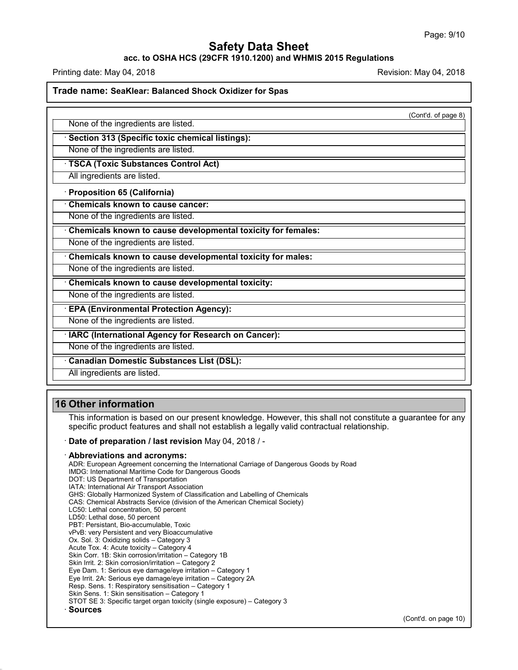### **acc. to OSHA HCS (29CFR 1910.1200) and WHMIS 2015 Regulations**

Printing date: May 04, 2018 **Printing date: May 04, 2018** Revision: May 04, 2018

**Trade name: SeaKlear: Balanced Shock Oxidizer for Spas**

(Cont'd. of page 8)

None of the ingredients are listed.

· **Section 313 (Specific toxic chemical listings):**

None of the ingredients are listed.

· **TSCA (Toxic Substances Control Act)**

All ingredients are listed.

· **Proposition 65 (California)**

· **Chemicals known to cause cancer:**

None of the ingredients are listed.

· **Chemicals known to cause developmental toxicity for females:**

None of the ingredients are listed.

· **Chemicals known to cause developmental toxicity for males:**

None of the ingredients are listed.

· **Chemicals known to cause developmental toxicity:**

None of the ingredients are listed.

· **EPA (Environmental Protection Agency):**

None of the ingredients are listed.

· **IARC (International Agency for Research on Cancer):**

None of the ingredients are listed.

· **Canadian Domestic Substances List (DSL):**

All ingredients are listed.

## **16 Other information**

46.2.4

This information is based on our present knowledge. However, this shall not constitute a guarantee for any specific product features and shall not establish a legally valid contractual relationship.

#### · **Date of preparation / last revision** May 04,2018 / -

#### · **Abbreviations and acronyms:**

ADR: European Agreement concerning the International Carriage of Dangerous Goods by Road IMDG: International Maritime Code for Dangerous Goods DOT: US Department of Transportation IATA: International Air Transport Association GHS: Globally Harmonized System of Classification and Labelling of Chemicals CAS: Chemical Abstracts Service (division of the American Chemical Society) LC50: Lethal concentration, 50 percent LD50: Lethal dose, 50 percent PBT: Persistant, Bio-accumulable, Toxic vPvB: very Persistent and very Bioaccumulative Ox. Sol. 3: Oxidizing solids – Category 3 Acute Tox. 4: Acute toxicity – Category 4 Skin Corr. 1B: Skin corrosion/irritation – Category 1B Skin Irrit. 2: Skin corrosion/irritation - Category 2 Eye Dam. 1: Serious eye damage/eye irritation – Category 1 Eye Irrit.2A: Serious eye damage/eye irritation – Category 2A Resp. Sens. 1: Respiratory sensitisation – Category 1 Skin Sens. 1: Skin sensitisation – Category 1 STOT SE 3: Specific target organ toxicity (single exposure) – Category 3 · **Sources**

(Cont'd. on page 10)